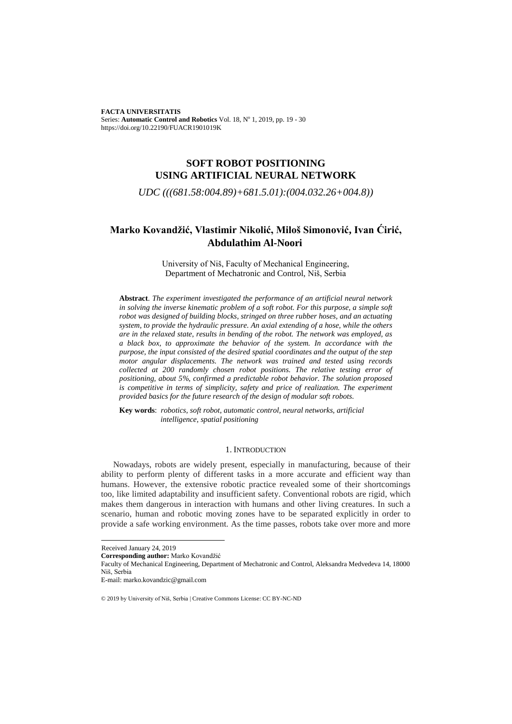**FACTA UNIVERSITATIS**  Series: Automatic Control and Robotics Vol. 18, Nº 1, 2019, pp. 19 - 30 https://doi.org/10.22190/FUACR1901019K

## **SOFT ROBOT POSITIONING USING ARTIFICIAL NEURAL NETWORK**

*UDC (((681.58:004.89)+681.5.01):(004.032.26+004.8))*

# **Marko Kovandžić, Vlastimir Nikolić, Miloš Simonović, Ivan Ćirić, Abdulathim Al-Noori**

University of Niš, Faculty of Mechanical Engineering, Department of Mechatronic and Control, Niš, Serbia

**Abstract**. *The experiment investigated the performance of an artificial neural network in solving the inverse kinematic problem of a soft robot. For this purpose, a simple soft robot was designed of building blocks, stringed on three rubber hoses, and an actuating system, to provide the hydraulic pressure. An axial extending of a hose, while the others are in the relaxed state, results in bending of the robot. The network was employed, as a black box, to approximate the behavior of the system. In accordance with the purpose, the input consisted of the desired spatial coordinates and the output of the step motor angular displacements. The network was trained and tested using records collected at 200 randomly chosen robot positions. The relative testing error of positioning, about 5%, confirmed a predictable robot behavior. The solution proposed is competitive in terms of simplicity, safety and price of realization. The experiment provided basics for the future research of the design of modular soft robots.*

**Key words**: *robotics, soft robot, automatic control, neural networks, artificial intelligence, spatial positioning*

### 1. INTRODUCTION

Nowadays, robots are widely present, especially in manufacturing, because of their ability to perform plenty of different tasks in a more accurate and efficient way than humans. However, the extensive robotic practice revealed some of their shortcomings too, like limited adaptability and insufficient safety. Conventional robots are rigid, which makes them dangerous in interaction with humans and other living creatures. In such a scenario, human and robotic moving zones have to be separated explicitly in order to provide a safe working environment. As the time passes, robots take over more and more

l

Faculty of Mechanical Engineering, Department of Mechatronic and Control, Aleksandra Medvedeva 14, 18000 Niš, Serbia

Received January 24, 2019

**Corresponding author:** Marko Kovandžić

E-mail: marko.kovandzic@gmail.com

<sup>© 2019</sup> by University of Niš, Serbia | Creative Commons License: CC BY-NC-ND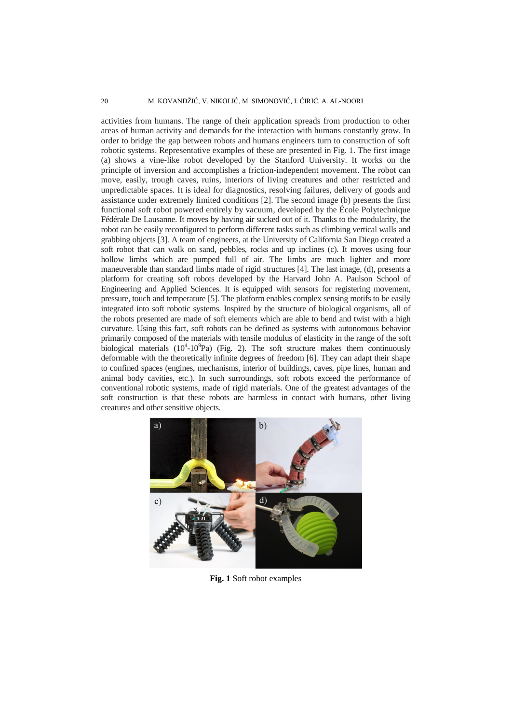activities from humans. The range of their application spreads from production to other areas of human activity and demands for the interaction with humans constantly grow. In order to bridge the gap between robots and humans engineers turn to construction of soft robotic systems. Representative examples of these are presented in Fig. 1. The first image (a) shows a vine-like robot developed by the Stanford University. It works on the principle of inversion and accomplishes a friction-independent movement. The robot can move, easily, trough caves, ruins, interiors of living creatures and other restricted and unpredictable spaces. It is ideal for diagnostics, resolving failures, delivery of goods and assistance under extremely limited conditions [2]. The second image (b) presents the first functional soft robot powered entirely by vacuum, developed by the École Polytechnique Fédérale De Lausanne. It moves by having air sucked out of it. Thanks to the modularity, the robot can be easily reconfigured to perform different tasks such as climbing vertical walls and grabbing objects [3]. A team of engineers, at the University of California San Diego created a soft robot that can walk on sand, pebbles, rocks and up inclines (c). It moves using [four](https://www.engadget.com/2017/05/18/soft-robot-rescue-missions/)  [hollow limbs](https://www.engadget.com/2017/05/18/soft-robot-rescue-missions/) which are pumped full of air. The limbs are much lighter and more maneuverable than standard limbs made of rigid structures [4]. The last image, (d), presents a platform for creating soft robots developed by the Harvard John A. Paulson School of Engineering and Applied Sciences. It is equipped with sensors for registering movement, pressure, touch and temperature [5]. The platform enables complex sensing motifs to be easily integrated into soft robotic systems. Inspired by the structure of biological organisms, all of the robots presented are made of soft elements which are able to bend and twist with a high curvature. Using this fact, soft robots can be defined as systems with autonomous behavior primarily composed of the materials with tensile modulus of elasticity in the range of the soft biological materials  $(10^4 \text{-} 10^9$ Pa) (Fig. 2). The soft structure makes them continuously deformable with the theoretically infinite degrees of freedom [6]. They can adapt their shape to confined spaces (engines, mechanisms, interior of buildings, caves, pipe lines, human and animal body cavities, etc.). In such surroundings, soft robots exceed the performance of conventional robotic systems, made of rigid materials. One of the greatest advantages of the soft construction is that these robots are harmless in contact with humans, other living creatures and other sensitive objects.



**Fig. 1** Soft robot examples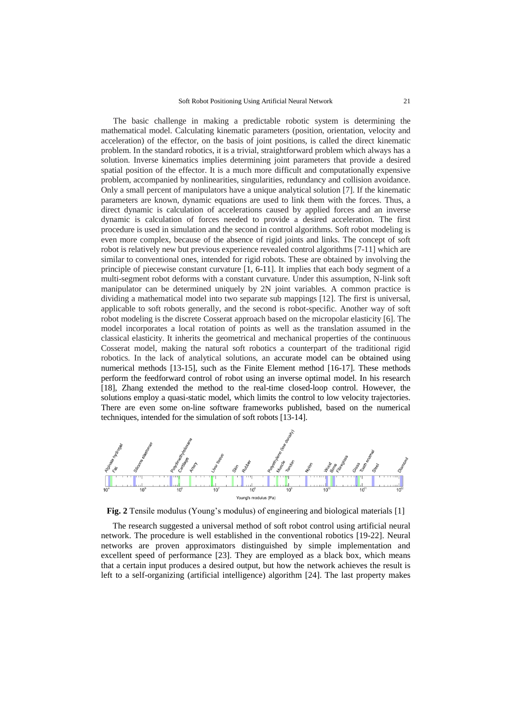The basic challenge in making a predictable robotic system is determining the mathematical model. Calculating kinematic parameters (position, orientation, velocity and acceleration) of the effector, on the basis of joint positions, is called the direct kinematic problem. In the standard robotics, it is a trivial, straightforward problem which always has a solution. Inverse kinematics implies determining joint parameters that provide a desired spatial position of the effector. It is a much more difficult and computationally expensive problem, accompanied by nonlinearities, singularities, redundancy and collision avoidance. Only a small percent of manipulators have a unique analytical solution [7]. If the kinematic parameters are known, dynamic equations are used to link them with the forces. Thus, a direct dynamic is calculation of accelerations caused by applied forces and an inverse dynamic is calculation of forces needed to provide a desired acceleration. The first procedure is used in simulation and the second in control algorithms. Soft robot modeling is even more complex, because of the absence of rigid joints and links. The concept of soft robot is relatively new but previous experience revealed control algorithms [7-11] which are similar to conventional ones, intended for rigid robots. These are obtained by involving the principle of piecewise constant curvature [1, 6-11]. It implies that each body segment of a multi-segment robot deforms with a constant curvature. Under this assumption, N-link soft manipulator can be determined uniquely by 2N joint variables. A common practice is dividing a mathematical model into two separate sub mappings [12]. The first is universal, applicable to soft robots generally, and the second is robot-specific. Another way of soft robot modeling is the discrete Cosserat approach based on the micropolar elasticity [6]. The model incorporates a local rotation of points as well as the translation assumed in the classical elasticity. It inherits the geometrical and mechanical properties of the continuous Cosserat model, making the natural soft robotics a counterpart of the traditional rigid robotics. In the lack of analytical solutions, an accurate model can be obtained using numerical methods [13-15], such as the Finite Element method [16-17]. These methods perform the feedforward control of robot using an inverse optimal model. In his research [18], Zhang extended the method to the real-time closed-loop control. However, the solutions employ a quasi-static model, which limits the control to low velocity trajectories. There are even some on-line software frameworks published, based on the numerical techniques, intended for the simulation of soft robots [13-14].



**Fig. 2** Tensile modulus (Young's modulus) of engineering and biological materials [1]

The research suggested a universal method of soft robot control using artificial neural network. The procedure is well established in the conventional robotics [19-22]. Neural networks are proven approximators distinguished by simple implementation and excellent speed of performance [23]. They are employed as a black box, which means that a certain input produces a desired output, but how the network achieves the result is left to a self-organizing (artificial intelligence) algorithm [24]. The last property makes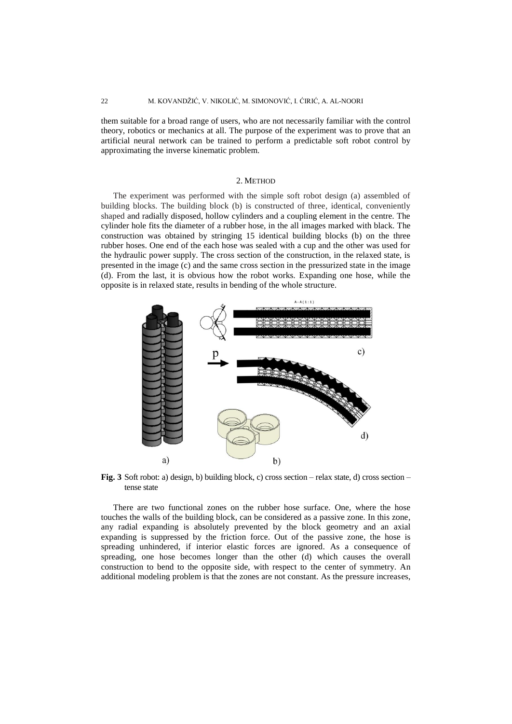them suitable for a broad range of users, who are not necessarily familiar with the control theory, robotics or mechanics at all. The purpose of the experiment was to prove that an artificial neural network can be trained to perform a predictable soft robot control by approximating the inverse kinematic problem.

#### 2. METHOD

The experiment was performed with the simple soft robot design (a) assembled of building blocks. The building block (b) is constructed of three, identical, conveniently shaped and radially disposed, hollow cylinders and a coupling element in the centre. The cylinder hole fits the diameter of a rubber hose, in the all images marked with black. The construction was obtained by stringing 15 identical building blocks (b) on the three rubber hoses. One end of the each hose was sealed with a cup and the other was used for the hydraulic power supply. The cross section of the construction, in the relaxed state, is presented in the image (c) and the same cross section in the pressurized state in the image (d). From the last, it is obvious how the robot works. Expanding one hose, while the opposite is in relaxed state, results in bending of the whole structure.



**Fig. 3** Soft robot: a) design, b) building block, c) cross section – relax state, d) cross section – tense state

There are two functional zones on the rubber hose surface. One, where the hose touches the walls of the building block, can be considered as a passive zone. In this zone, any radial expanding is absolutely prevented by the block geometry and an axial expanding is suppressed by the friction force. Out of the passive zone, the hose is spreading unhindered, if interior elastic forces are ignored. As a consequence of spreading, one hose becomes longer than the other (d) which causes the overall construction to bend to the opposite side, with respect to the center of symmetry. An additional modeling problem is that the zones are not constant. As the pressure increases,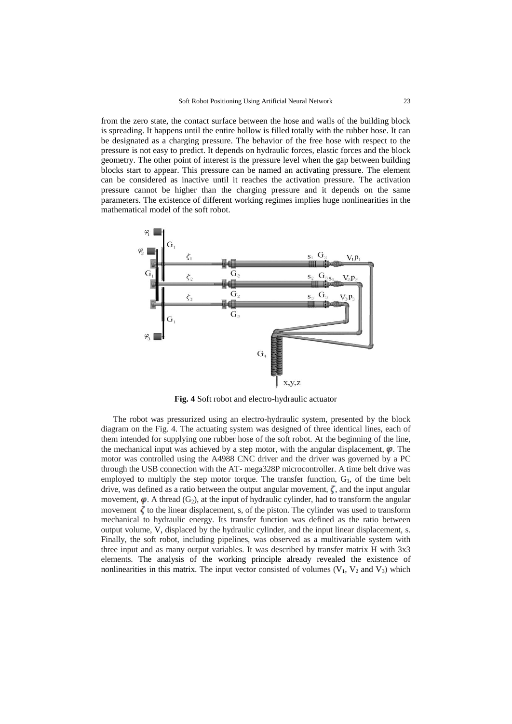from the zero state, the contact surface between the hose and walls of the building block is spreading. It happens until the entire hollow is filled totally with the rubber hose. It can be designated as a charging pressure. The behavior of the free hose with respect to the pressure is not easy to predict. It depends on hydraulic forces, elastic forces and the block geometry. The other point of interest is the pressure level when the gap between building blocks start to appear. This pressure can be named an activating pressure. The element can be considered as inactive until it reaches the activation pressure. The activation pressure cannot be higher than the charging pressure and it depends on the same parameters. The existence of different working regimes implies huge nonlinearities in the mathematical model of the soft robot.



**Fig. 4** Soft robot and electro-hydraulic actuator

The robot was pressurized using an electro-hydraulic system, presented by the block diagram on the Fig. 4. The actuating system was designed of three identical lines, each of them intended for supplying one rubber hose of the soft robot. At the beginning of the line, the mechanical input was achieved by a step motor, with the angular displacement,  $\varphi$ . The motor was controlled using the A4988 CNC driver and the driver was governed by a PC through the USB connection with the AT- mega328P microcontroller. A time belt drive was employed to multiply the step motor torque. The transfer function,  $G<sub>1</sub>$ , of the time belt drive, was defined as a ratio between the output angular movement,  $\zeta$ , and the input angular movement,  $\varphi$ . A thread (G<sub>2</sub>), at the input of hydraulic cylinder, had to transform the angular movement  $\zeta$  to the linear displacement, s, of the piston. The cylinder was used to transform mechanical to hydraulic energy. Its transfer function was defined as the ratio between output volume, V, displaced by the hydraulic cylinder, and the input linear displacement, s. Finally, the soft robot, including pipelines, was observed as a multivariable system with three input and as many output variables. It was described by transfer matrix H with 3x3 elements. The analysis of the working principle already revealed the existence of nonlinearities in this matrix. The input vector consisted of volumes  $(V_1, V_2$  and  $V_3)$  which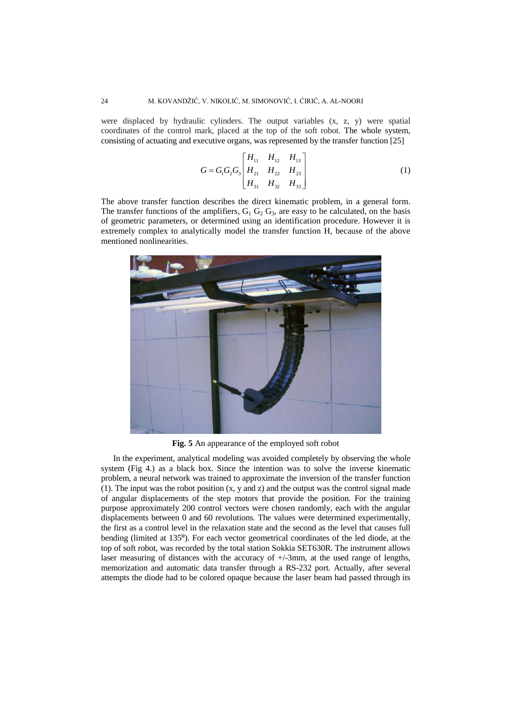were displaced by hydraulic cylinders. The output variables (x, z, y) were spatial coordinates of the control mark, placed at the top of the soft robot. The whole system, consisting of actuating and executive organs, was represented by the transfer function [25]

$$
G = G_1 G_2 G_3 \begin{bmatrix} H_{11} & H_{12} & H_{13} \\ H_{21} & H_{22} & H_{23} \\ H_{31} & H_{32} & H_{33} \end{bmatrix}
$$
 (1)

The above transfer function describes the direct kinematic problem, in a general form. The transfer functions of the amplifiers,  $G_1 G_2 G_3$ , are easy to be calculated, on the basis of geometric parameters, or determined using an identification procedure. However it is extremely complex to analytically model the transfer function H, because of the above mentioned nonlinearities.



**Fig. 5** An appearance of the employed soft robot

In the experiment, analytical modeling was avoided completely by observing the whole system (Fig 4.) as a black box. Since the intention was to solve the inverse kinematic problem, a neural network was trained to approximate the inversion of the transfer function (1). The input was the robot position (x, y and z) and the output was the control signal made of angular displacements of the step motors that provide the position. For the training purpose approximately 200 control vectors were chosen randomly, each with the angular displacements between 0 and 60 revolutions. The values were determined experimentally, the first as a control level in the relaxation state and the second as the level that causes full bending (limited at 135<sup>o</sup>). For each vector geometrical coordinates of the led diode, at the top of soft robot, was recorded by the total station Sokkia SET630R. The instrument allows laser measuring of distances with the accuracy of +/-3mm, at the used range of lengths, memorization and automatic data transfer through a RS-232 port. Actually, after several attempts the diode had to be colored opaque because the laser beam had passed through its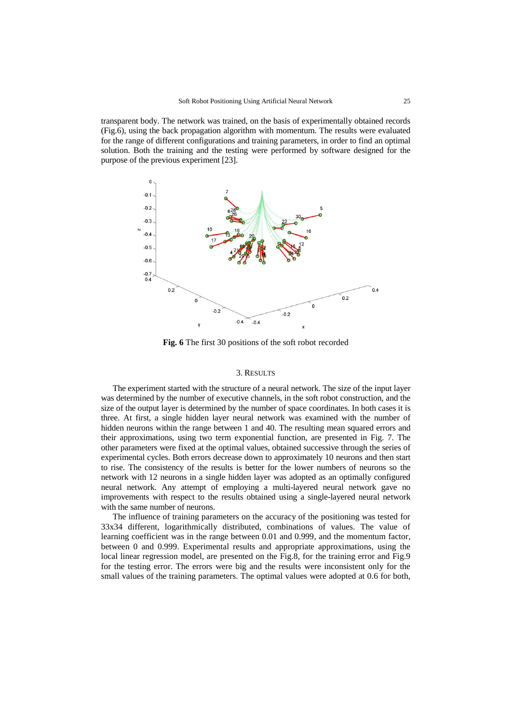transparent body. The network was trained, on the basis of experimentally obtained records (Fig.6), using the back propagation algorithm with momentum. The results were evaluated for the range of different configurations and training parameters, in order to find an optimal solution. Both the training and the testing were performed by software designed for the purpose of the previous experiment [23].



**Fig. 6** The first 30 positions of the soft robot recorded

#### 3. RESULTS

The experiment started with the structure of a neural network. The size of the input layer was determined by the number of executive channels, in the soft robot construction, and the size of the output layer is determined by the number of space coordinates. In both cases it is three. At first, a single hidden layer neural network was examined with the number of hidden neurons within the range between 1 and 40. The resulting mean squared errors and their approximations, using two term exponential function, are presented in Fig. 7. The other parameters were fixed at the optimal values, obtained successive through the series of experimental cycles. Both errors decrease down to approximately 10 neurons and then start to rise. The consistency of the results is better for the lower numbers of neurons so the network with 12 neurons in a single hidden layer was adopted as an optimally configured neural network. Any attempt of employing a multi-layered neural network gave no improvements with respect to the results obtained using a single-layered neural network with the same number of neurons.

The influence of training parameters on the accuracy of the positioning was tested for 33x34 different, logarithmically distributed, combinations of values. The value of learning coefficient was in the range between 0.01 and 0.999, and the momentum factor, between 0 and 0.999. Experimental results and appropriate approximations, using the local linear regression model, are presented on the Fig.8, for the training error and Fig.9 for the testing error. The errors were big and the results were inconsistent only for the small values of the training parameters. The optimal values were adopted at 0.6 for both,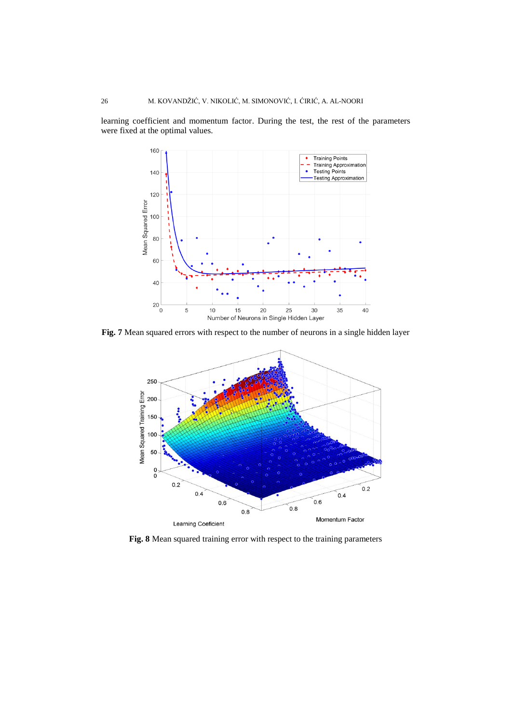learning coefficient and momentum factor. During the test, the rest of the parameters were fixed at the optimal values.



**Fig. 7** Mean squared errors with respect to the number of neurons in a single hidden layer



**Fig. 8** Mean squared training error with respect to the training parameters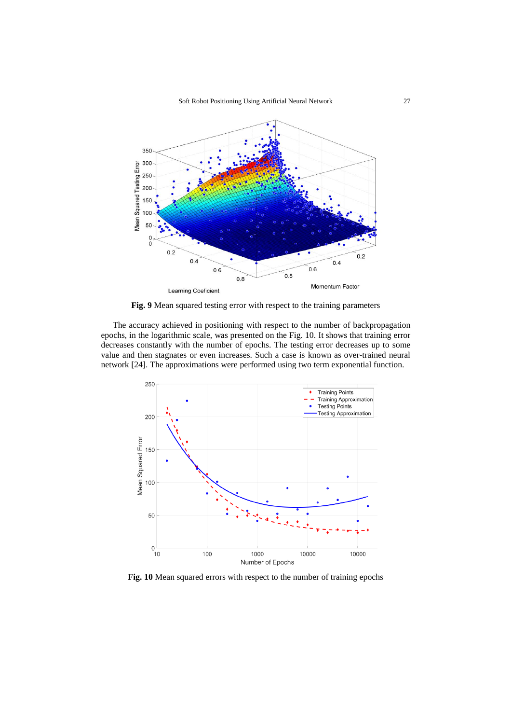

**Fig. 9** Mean squared testing error with respect to the training parameters

The accuracy achieved in positioning with respect to the number of backpropagation epochs, in the logarithmic scale, was presented on the Fig. 10. It shows that training error decreases constantly with the number of epochs. The testing error decreases up to some value and then stagnates or even increases. Such a case is known as over-trained neural network [24]. The approximations were performed using two term exponential function.



**Fig. 10** Mean squared errors with respect to the number of training epochs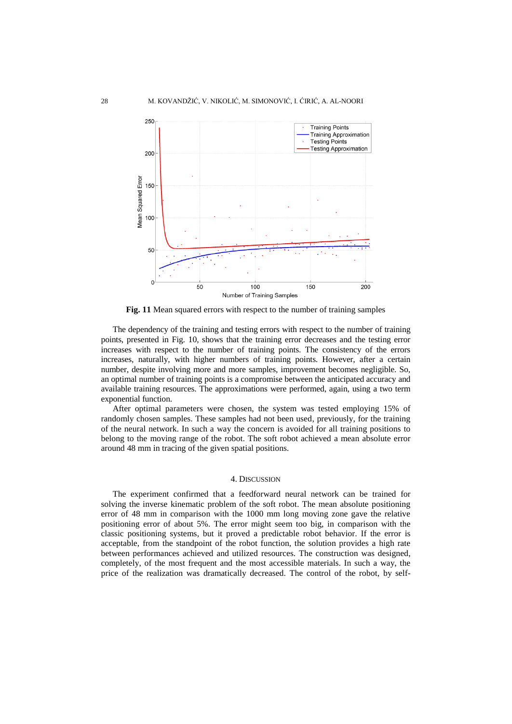

**Fig. 11** Mean squared errors with respect to the number of training samples

The dependency of the training and testing errors with respect to the number of training points, presented in Fig. 10, shows that the training error decreases and the testing error increases with respect to the number of training points. The consistency of the errors increases, naturally, with higher numbers of training points. However, after a certain number, despite involving more and more samples, improvement becomes negligible. So, an optimal number of training points is a compromise between the anticipated accuracy and available training resources. The approximations were performed, again, using a two term exponential function.

After optimal parameters were chosen, the system was tested employing 15% of randomly chosen samples. These samples had not been used, previously, for the training of the neural network. In such a way the concern is avoided for all training positions to belong to the moving range of the robot. The soft robot achieved a mean absolute error around 48 mm in tracing of the given spatial positions.

## 4. DISCUSSION

The experiment confirmed that a feedforward neural network can be trained for solving the inverse kinematic problem of the soft robot. The mean absolute positioning error of 48 mm in comparison with the 1000 mm long moving zone gave the relative positioning error of about 5%. The error might seem too big, in comparison with the classic positioning systems, but it proved a predictable robot behavior. If the error is acceptable, from the standpoint of the robot function, the solution provides a high rate between performances achieved and utilized resources. The construction was designed, completely, of the most frequent and the most accessible materials. In such a way, the price of the realization was dramatically decreased. The control of the robot, by self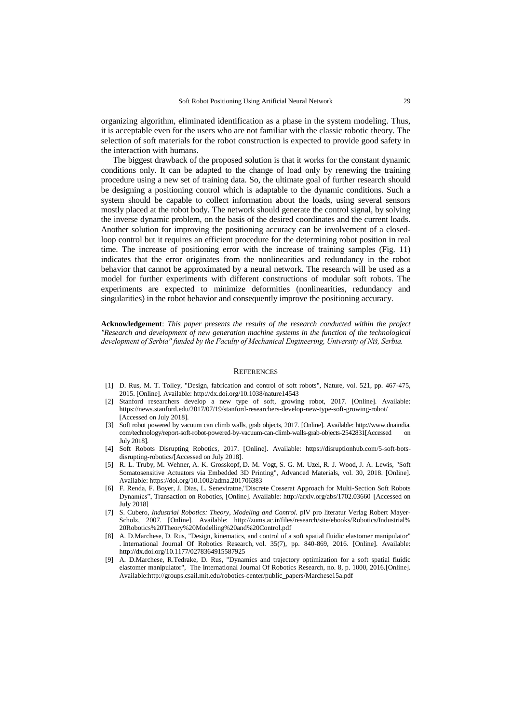organizing algorithm, eliminated identification as a phase in the system modeling. Thus, it is acceptable even for the users who are not familiar with the classic robotic theory. The selection of soft materials for the robot construction is expected to provide good safety in the interaction with humans.

The biggest drawback of the proposed solution is that it works for the constant dynamic conditions only. It can be adapted to the change of load only by renewing the training procedure using a new set of training data. So, the ultimate goal of further research should be designing a positioning control which is adaptable to the dynamic conditions. Such a system should be capable to collect information about the loads, using several sensors mostly placed at the robot body. The network should generate the control signal, by solving the inverse dynamic problem, on the basis of the desired coordinates and the current loads. Another solution for improving the positioning accuracy can be involvement of a closedloop control but it requires an efficient procedure for the determining robot position in real time. The increase of positioning error with the increase of training samples (Fig. 11) indicates that the error originates from the nonlinearities and redundancy in the robot behavior that cannot be approximated by a neural network. The research will be used as a model for further experiments with different constructions of modular soft robots. The experiments are expected to minimize deformities (nonlinearities, redundancy and singularities) in the robot behavior and consequently improve the positioning accuracy.

**Acknowledgement**: *This paper presents the results of the research conducted within the project "Research and development of new generation machine systems in the function of the technological development of Serbia" funded by the Faculty of Mechanical Engineering, University of Niš, Serbia.*

#### **REFERENCES**

- [1] D. Rus, M. T. Tolley, "Design, fabrication and control of soft robots", Nature, vol. 521, pp. 467-475, 2015. [Online]. Available: http://dx.doi.org/10.1038/nature14543
- [2] Stanford researchers develop a new type of soft, growing robot, 2017. [Online]. Available: https://news.stanford.edu/2017/07/19/stanford-researchers-develop-new-type-soft-growing-robot/ [Accessed on July 2018].
- [3] Soft robot powered by vacuum can climb walls, grab objects, 2017. [Online]. Available: http://www.dnaindia. com/technology/report-soft-robot-powered-by-vacuum-can-climb-walls-grab-objects-2542831[Accessed July 2018].
- [4] Soft Robots Disrupting Robotics, 2017. [Online]. Available: https://disruptionhub.com/5-soft-botsdisrupting-robotics/[Accessed on July 2018].
- [5] R. L. Truby, M. Wehner, A. K. Grosskopf, D. M. Vogt, S. G. M. Uzel, R. J. Wood, J. A. Lewis, "Soft Somatosensitive Actuators via Embedded 3D Printing", Advanced Materials, vol. 30, 2018. [Online]. Available[: https://doi.org/10.1002/adma.201706383](https://doi.org/10.1002/adma.201706383)
- [6] F. Renda, F. Boyer, J. Dias, L. Seneviratne,"Discrete Cosserat Approach for Multi-Section Soft Robots Dynamics", Transaction on Robotics, [Online]. Available:<http://arxiv.org/abs/1702.03660> [Accessed on July 2018]
- [7] S. Cubero, *Industrial Robotics: Theory, Modeling and Control.* plV pro literatur Verlag Robert Mayer-Scholz, 2007. [Online]. Available: http://zums.ac.ir/files/research/site/ebooks/Robotics/Industrial% 20Robotics%20Theory%20Modelling%20and%20Control.pdf
- [8] A. D.Marchese, D. Rus, "Design, kinematics, and control of a soft spatial fluidic elastomer manipulator" . International Journal Of Robotics Research, vol. 35(7), pp. 840-869, 2016. [Online]. Available: http://dx.doi.org/10.1177/0278364915587925
- [9] A. D.Marchese, R.Tedrake, D. Rus, "Dynamics and trajectory optimization for a soft spatial fluidic elastomer manipulator", The International Journal Of Robotics Research, no. 8, p. 1000, 2016.[Online]. Availabl[e:http://groups.csail.mit.edu/robotics-center/public\\_papers/Marchese15a.pdf](http://groups.csail.mit.edu/robotics-center/public_papers/Marchese15a.pdf)